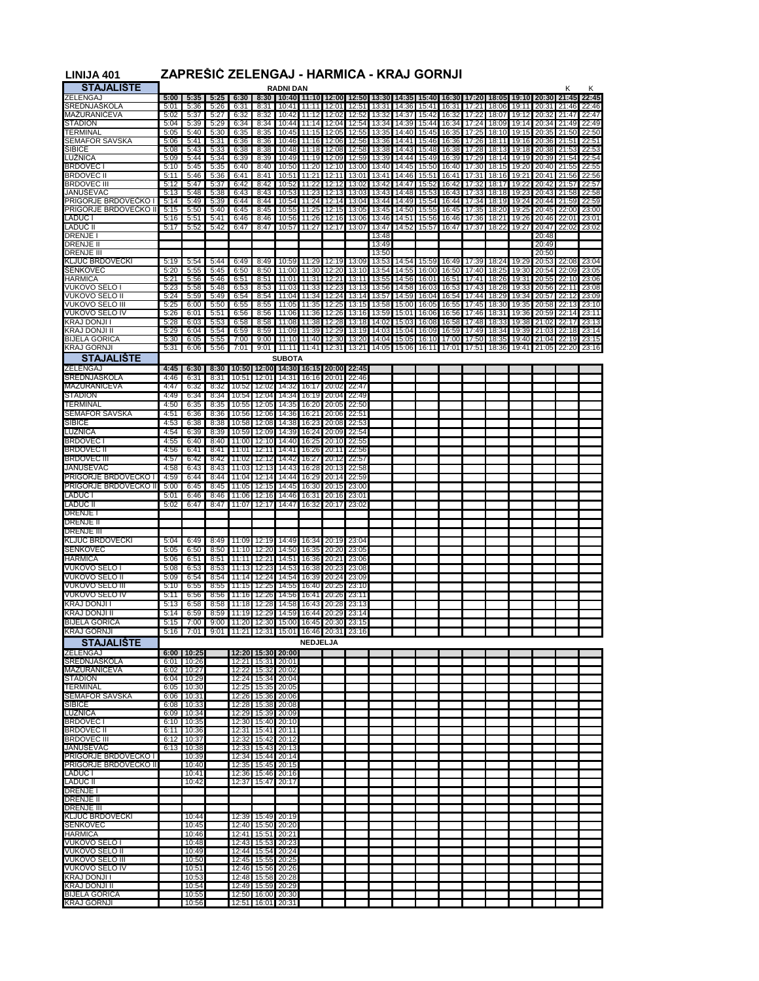| <b>LINIJA 401</b>                               |              | ZAPRESIC ZELENGAJ - HARMICA - KRAJ GORNJI |              |                |                                        |                                     |                 |                      |                |                                                                         |                |                |                |                |                |                |                |                |                |
|-------------------------------------------------|--------------|-------------------------------------------|--------------|----------------|----------------------------------------|-------------------------------------|-----------------|----------------------|----------------|-------------------------------------------------------------------------|----------------|----------------|----------------|----------------|----------------|----------------|----------------|----------------|----------------|
| <b>STAJALISTE</b>                               |              |                                           |              |                |                                        | <b>RADNI DAN</b>                    |                 |                      |                |                                                                         |                |                |                |                |                |                |                | κ              | κ              |
| ZELENGAJ                                        | 5:00         | 5:35                                      | 5.25         | 6:30           | 8:30                                   |                                     |                 |                      |                | 10:40 11:10 12:00 12:50 13:30 14:35 15:40 16:30 17:20 18:05 19:10 20:30 |                |                |                |                |                |                |                | 21.45          | 22.45          |
| SREDNJAŠKOLA                                    | 5:01         | 5:36                                      | 5:26         | 6:31           | 8:31                                   | 10:41                               | 11:11           | 12:01                | 12:51          | 13:31                                                                   | 14:36          | 15:41          | 16:31          | 17:21          | 18:06          | 19:11          | 20:31          | 21:46          | 22:46          |
| MAZURANICEVA<br><b>STADION</b>                  | 5:02<br>5:04 | 5:37<br>5:39                              | 5:27<br>5:29 | 6:32<br>6:34   | 8:32<br>8:34                           | 10:42<br>10:44                      | 11:12<br>11:14  | 12:02<br>12:04       | 12:52<br>12:54 | 13:32<br>13:34                                                          | 14:37<br>14:39 | 15:42<br>15:44 | 16:32<br>16:34 | 17:22<br>17:24 | 18:07<br>18:09 | 19:12<br>19:14 | 20:32<br>20:34 | 21:47<br>21:49 | 22:47<br>22:49 |
| TERMINAL                                        | 5:05         | 5:40                                      | 5:30         | 6:35           | 8:35                                   | 10:45                               | 11:15           | 12:05                | 12:55          | 13:35                                                                   | 14:40          | 15:45          | 16:35          | 17:25          | 18:10          | 19:15          | 20:35          | 21:50          | 22:50          |
| <b>SEMAFOR SAVSKA</b>                           | 5:06         | 5:41                                      | 5:31         | 6:36           | 8:36                                   | 10:46                               | 11:16           | 12:06                | 12:56          | 13:36                                                                   | 14:41          | 15:46          | 16:36          | 17:26          | 18:11          | 19:16          | 20:36          | 21:51          | 22:51          |
| SIBICE                                          | 5:08         | 5:43                                      | 5:33         | 6:38           | 8:38                                   | 10:48                               | 11:18           | 12:08                | 12:58          | 13:38                                                                   | 14:43          | 15:48          | 16:38          | 17:28          | 18:13          | 19:18          | 20:38          | 21:53          | 22:53          |
| <b>LUŽNICA</b>                                  | 5:09         | 5:44                                      | 5:34         | 6:39           | 8:39                                   | 10:49                               | 11:19           | 12:09                | 12:59          | 13:39                                                                   | 14:44          | 15:49          | 16:39          | 17:29          | 18:14          | 19:19          | 20:39          | 21:54          | 22:54          |
| <b>BRDOVEC1</b><br>BRDOVEC II                   | 5:10<br>5:11 | 5:45<br>5:46                              | 5:35<br>5:36 | 6:40<br>6:41   | 8:40<br>8:41                           | 10:50<br>10:51                      | 11:20<br>11:21  | 12:10<br>12:11       | 13:00<br>13:01 | 13:40<br>13:41                                                          | 14:45<br>14:46 | 15:50<br>15:51 | 16:40<br>16:41 | 17:30<br>17:31 | 18:15<br>18:16 | 19:20<br>19:21 | 20:40<br>20:41 | 21:55<br>21:56 | 22:55<br>22:56 |
| <b>BRDOVEC III</b>                              | 5:12         | 5:47                                      | 5:37         | 6:42           | 8:42                                   | 10:52                               | 11:22           | 12:12                | 13:02          | 13:42                                                                   | 14:47          | 15:52          | 16:42          | 17:32          | 18:17          | 19:22          | 20:42          | 21:57          | 22:57          |
| <b>JANUSEVAC</b>                                | 5:13         | 5:48                                      | 5:38         | 6:43           | 8:43                                   | 10:53                               | 11:23           | 12:13                | 13:03          | 13:43                                                                   | 14:48          | 15:53          | 16:43          | 17:33          | 18:18          | 19:23          | 20:43          | 21:58          | 22:58          |
| PRIGORJE BRDOVECKO I                            | 5:14         | 5:49                                      | 5:39         | 6:44           | 8:44                                   | 10:54                               | 11:24           | 12:14                | 13:04          | 13:44                                                                   | 14:49          | 15:54          | 16:44          | 17:34          | 18:19          | 19:24          | 20:44          | 21:59          | 22:59          |
| PRIGORJE BRDOVECKO II                           | 5:15         | 5:50                                      | 5:40         | 6:45           | 8:45                                   | 10:55                               | 11:25           | 12:15                | 13:05          | 13:45                                                                   | 14:50          | 15:55          | 16:45          | 17:35          | 18:20          | 19:25          | 20:45          | 22:00          | 23:00          |
| LADUĈ I<br>LADUČ II                             | 5:16<br>5:17 | 5:51<br>5:52                              | 5:41<br>5:42 | 6:46<br>6:47   | 8:46<br>8:47                           | 10:56<br>10:57                      | 11:26<br>11:27  | 12:16<br>12:17       | 13:06<br>13:07 | 13:46<br>13:47                                                          | 14:51<br>14:52 | 15:56<br>15:57 | 16:46<br>16:47 | 17:36<br>17:37 | 18:21<br>18:22 | 19:26<br>19:27 | 20:46<br>20:47 | 22:02          | 23:01<br>23:02 |
| DRENJE                                          |              |                                           |              |                |                                        |                                     |                 |                      |                | 13:48                                                                   |                |                |                |                |                |                | 20:48          |                |                |
| <b>DRENJE II</b>                                |              |                                           |              |                |                                        |                                     |                 |                      |                | 13:49                                                                   |                |                |                |                |                |                | 20:49          |                |                |
| <b>DRENJE III</b>                               |              |                                           |              |                |                                        |                                     |                 |                      |                | 13:50                                                                   |                |                |                |                |                |                | 20:50          |                |                |
| <b>KLJUĆ BRDOVECKI</b><br>SENKOVEC              | 5:19<br>5:20 | 5:54<br>5:55                              | 5:44<br>5:45 | 6:49<br>6:50   | 8:49<br>8:50                           | 10:59<br>11:00                      | 11:29<br>11:30  | 12:19<br>12:20       | 13:09<br>13:10 | 13:53<br>13:54                                                          | 14:54<br>14:55 | 15:59<br>16:00 | 16:49<br>16:50 | 17:39<br>17:40 | 18:24<br>18:25 | 19:29<br>19:30 | 20:53<br>20:54 | 22:08<br>22:09 | 23:04<br>23:05 |
| <b>HARMICA</b>                                  | 5:21         | 5:56                                      | 5:46         | 6:51           | 8:51                                   | 11:01                               | 11:31           | 12:21                | 13:11          | 13:55                                                                   | 14:56          | 16:01          | 16:51          | 17:41          | 18:26          | 19:31          | 20:55          | 22:10          | 23:06          |
| VUKOVO SELO I                                   | 5:23         | 5:58                                      | 5:48         | 6:53           | 8:53                                   | 11:03                               | 11:33           | 12:23                | 13:13          | 13:56                                                                   | 14:58          | 16:03          | 16:53          | 17:43          | 18:28          | 19:33          | 20:56          | 22:11          | 23:08          |
| VUKOVO SELO II                                  | 5:24         | 5:59                                      | 5:49         | 6:54           | 8:54                                   | 11:04                               | 11:34           | 12:24                | 13:14          | 13:57                                                                   | 14:59          | 16:04          | 16:54          | 17:44          | 18:29          | 19:34          | 20:57          | 22:12          | 23:09          |
| <b>VUKOVO SELO III</b><br><b>VUKOVO SELO IV</b> | 5:25         | 6:00                                      | 5:50         | 6:55           | 8:55                                   | 11:05                               | 11:35           | 12:25                | 13:15          | 13:58                                                                   | 15:00          | 16:05          | 16:55          | 17:45          | 18:30          | 19:35          | 20:58          | 22:13          | 23:10          |
| <b>KRAJ DONJI I</b>                             | 5:26<br>5:28 | 6:01<br>6:03                              | 5:51<br>5:53 | 6:56<br>6:58   | 8:56<br>8:58                           | 11:06<br>11:08                      | 11:36<br>11:38  | 12:26<br>12:28       | 13:16<br>13:18 | 13:59<br>14:02                                                          | 15:01<br>15:03 | 16:06<br>16:08 | 16:56<br>16:58 | 17:46<br>17:48 | 18:31<br>18:33 | 19:36<br>19:38 | 20:59<br>21:02 | 22:14<br>22:17 | 23:11<br>23:13 |
| KRAJ DONJI II                                   | 5:29         | 6:04                                      | 5:54         | 6:59           | 8:59                                   | 11:09                               | 11:39           | 12:29                | 13:19          | 14:03                                                                   | 15:04          | 16:09          | 16:59          | 17:49          | 18:34          | 19:39          | 21:03          | 22:18          | 23:14          |
| <b>BIJELA GORICA</b>                            | 5:30         | 6:05                                      | 5:55         | 7:00           | 9:00                                   | 11:10                               | 11:40           | 12:30                | 13:20          | 14:04                                                                   | 15:05          | 16:10          | 17:00          | 17:50          | 18:35          | 19:40          | 21:04          | 22:19          | 23:15          |
| KRAJ GORNJI                                     | 5:31         | 6:06                                      | 5:56         | 7:01           | 9:01                                   | 11:11                               | 11:41           | 12:31                | 13:21          | 14:05                                                                   | 15:06          | 16:11          | 17:01          |                | 17:51 18:36    | 19:41          | 21:05          | 22:20          | 23:16          |
| <b>STAJALISTE</b>                               |              |                                           |              |                |                                        | <b>SUBOTA</b>                       |                 |                      |                |                                                                         |                |                |                |                |                |                |                |                |                |
| ZELENGAJ                                        | 4:45         | 6:30                                      | 8:30         |                |                                        | 10:50 12:00 14:30 16:15 20:00 22:45 |                 |                      |                |                                                                         |                |                |                |                |                |                |                |                |                |
| SREDNJASKOLA<br>MAZURANICEVA                    | 4:46<br>4:47 | 6:31                                      | 8:31         | 10:51          | 12:01<br>12:02                         | 14:31<br>14:32                      |                 | 16:16 20:01<br>20:02 | 22:46<br>22:47 |                                                                         |                |                |                |                |                |                |                |                |                |
| <b>STADION</b>                                  | 4:49         | 6:32<br>6:34                              | 8:32<br>8:34 | 10:52<br>10:54 | 12:04                                  | 14:34                               | 16:17<br>16:19  | 20:04                | 22:49          |                                                                         |                |                |                |                |                |                |                |                |                |
| TERMINAL                                        | 4:50         | 6:35                                      | 8:35         | 10:55          | 12:05                                  | 14:35                               | 16:20           | 20:05                | 22:50          |                                                                         |                |                |                |                |                |                |                |                |                |
| <b>SEMAFOR SAVSKA</b>                           | 4:51         | 6:36                                      | 8:36         | 10:56          | 12:06                                  | 14:36                               | 16:21           | 20:06                | 22:51          |                                                                         |                |                |                |                |                |                |                |                |                |
| <b>SIBICE</b>                                   | 4:53         | 6:38                                      | 8:38         | 10:58          | 12:08                                  | 14:38                               | 16:23           | 20:08                | 22:53          |                                                                         |                |                |                |                |                |                |                |                |                |
| LUZNICA                                         | 4:54         | 6:39                                      | 8:39         | 10:59          | 12:09                                  | 14:39                               | 16:24           | 20:09                | 22:54          |                                                                         |                |                |                |                |                |                |                |                |                |
| <b>BRDOVEC1</b>                                 | 4:55         | 6:40                                      | 8:40         | 11:00          | 12:10                                  | 14:40                               | 16:25           | 20:10                | 22:55          |                                                                         |                |                |                |                |                |                |                |                |                |
| <b>BRDOVEC II</b><br><b>BRDOVEC III</b>         | 4:56<br>4:57 | 6:41<br>6:42                              | 8:41<br>8:42 | 11:01<br>11:02 | 12:11<br>12:12                         | 14:41<br>14:42                      | 16:26<br>16:27  | 20:11<br>20:12       | 22:56<br>22:57 |                                                                         |                |                |                |                |                |                |                |                |                |
| JANUSEVAC                                       | 4:58         | 6:43                                      | 8:43         | 11:03          | 12:13                                  | 14:43                               | 16:28           | 20:13                | 22:58          |                                                                         |                |                |                |                |                |                |                |                |                |
| PRIGORJE BRDOVECKO I                            | 4:59         | 6:44                                      | 8:44         | 11:04          | 12:14                                  | 14:44                               | 16:29           | 20:14                | 22:59          |                                                                         |                |                |                |                |                |                |                |                |                |
| PRIGORJE BRDOVECKO II                           | 5:00         | 6:45                                      | 8:45         | 11:05          | 12:15                                  | 14:45                               | 16:30           | 20:15                | 23:00          |                                                                         |                |                |                |                |                |                |                |                |                |
| <b>LADUC I</b>                                  | 5:01         | 6:46                                      | 8:46         | 11:06          | 12:16                                  | 14:46                               | 16:31           | 20:16                | 23:01          |                                                                         |                |                |                |                |                |                |                |                |                |
| LADUC II                                        | 5:02         | 6:47                                      | 8:47         | 11:07          | 12:17                                  | 14:47                               | 16:32           | 20:17                | 23:02          |                                                                         |                |                |                |                |                |                |                |                |                |
| <b>DRENJE</b><br>DRENJE II                      |              |                                           |              |                |                                        |                                     |                 |                      |                |                                                                         |                |                |                |                |                |                |                |                |                |
| DRENJE III                                      |              |                                           |              |                |                                        |                                     |                 |                      |                |                                                                         |                |                |                |                |                |                |                |                |                |
| <b>KLJUC BRDOVECKI</b>                          | 5:04         | 6:49                                      | 8:49         | 11:09          | 12:19                                  | 14:49                               | 16:34           | 20:19                | 23:04          |                                                                         |                |                |                |                |                |                |                |                |                |
| <b>SENKOVEC</b>                                 | 5:05         | 6:50                                      | 8:50         | 11:10          | 12:20                                  | 14:50                               | 16:35           | 20:20                | 23:05          |                                                                         |                |                |                |                |                |                |                |                |                |
| <b>HARMICA</b>                                  | 5:06         | 6:51                                      | 8:51         | 11:11          | 12:21                                  | 14:51                               | 16:36           | 20:21                | 23:06          |                                                                         |                |                |                |                |                |                |                |                |                |
| VUKOVO SELO I                                   | 5:08         | 6:53                                      | 8:53         | 11:13          | 12:23                                  | 14:53                               | 16:38           | 20:23                | 23:08          |                                                                         |                |                |                |                |                |                |                |                |                |
| <b>VUKOVO SELO II</b>                           | 5:09         | 6:54                                      | 8:54         | 11:14          | 12:24                                  | 14:54                               | 16:39           | 20:24                | 23:09          |                                                                         |                |                |                |                |                |                |                |                |                |
| VUKOVO SELO III<br><b>VUKOVO SELO IV</b>        | 5:10<br>5:11 | 6:55<br>6:56                              | 8:55<br>8:56 | 11:15<br>11:16 | 12:25<br>12:26                         | 14:55<br>14:56                      | 16:40<br>16:41  | 20:25<br>20:26       | 23:10<br>23:11 |                                                                         |                |                |                |                |                |                |                |                |                |
| KRAJ DONJI I                                    | 5:13         | 6:58                                      | 8:58         | 11:18          | 12:28                                  | 14:58                               | 16:43           | 20:28                | 23:13          |                                                                         |                |                |                |                |                |                |                |                |                |
| KRAJ DONJI II                                   | 5:14         | 6:59                                      | 8:59         | 11:19          | 12:29                                  | 14:59                               | 16:44           | 20:29                | 23:14          |                                                                         |                |                |                |                |                |                |                |                |                |
| BIJELA GORIC                                    |              |                                           | 9:00         |                | 11:20 12:30                            | 15:00                               | 16.45           |                      |                |                                                                         |                |                |                |                |                |                |                |                |                |
| <b>KRAJ GORNJI</b>                              | 5:16         | 7:01                                      | 9:01         |                |                                        | 11:21 12:31 15:01 16:46 20:31 23:16 |                 |                      |                |                                                                         |                |                |                |                |                |                |                |                |                |
| <b>STAJALIŠTE</b>                               |              |                                           |              |                |                                        |                                     | <b>NEDJELJA</b> |                      |                |                                                                         |                |                |                |                |                |                |                |                |                |
| ZELENGAJ                                        |              | $6:00$ 10:25                              |              |                |                                        | 12:20 15:30 20:00                   |                 |                      |                |                                                                         |                |                |                |                |                |                |                |                |                |
| SREDNJASKOLA<br><b>MAZURANICEVA</b>             |              | 6:01 10:26<br>6:02 10:27                  |              |                | 12:22 15:32 20:02                      | 12:21 15:31 20:01                   |                 |                      |                |                                                                         |                |                |                |                |                |                |                |                |                |
|                                                 | 6:04         | 10:29                                     |              |                | 12:24 15:34 20:04                      |                                     |                 |                      |                |                                                                         |                |                |                |                |                |                |                |                |                |
| STADION<br>TERMINAL                             |              | 6:05 10:30                                |              |                | 12:25 15:35                            | 20:05                               |                 |                      |                |                                                                         |                |                |                |                |                |                |                |                |                |
| <b>SEMAFOR SAVSKA</b>                           |              | 6:06 10:31                                |              |                | 12:26 15:36                            | 20:06                               |                 |                      |                |                                                                         |                |                |                |                |                |                |                |                |                |
| ŜIBICE<br>LUZNICA                               |              | 6:08 10:33<br>6:09 10:34                  |              | 12:28<br>12:29 | 15:38                                  | 20:08<br>15:39 20:09                |                 |                      |                |                                                                         |                |                |                |                |                |                |                |                |                |
| <b>BRDOVEC1</b>                                 |              | 6:10 10:35                                |              |                | 12:30 15:40                            | 20:10                               |                 |                      |                |                                                                         |                |                |                |                |                |                |                |                |                |
| <b>BRDOVEC II</b>                               | 6:11         | 10:36                                     |              | 12:31          |                                        | 15:41 20:11                         |                 |                      |                |                                                                         |                |                |                |                |                |                |                |                |                |
| <b>BRDOVEC III</b>                              |              | 6:12 10:37                                |              |                | 12:32 15:42 20:12                      |                                     |                 |                      |                |                                                                         |                |                |                |                |                |                |                |                |                |
| <b>JANUSEVAC</b><br>PRIGORJE BRDOVECKO I        | 6:13         | 10:38<br>10:39                            |              | 12:33          |                                        | 15:43 20:13<br>12:34 15:44 20:14    |                 |                      |                |                                                                         |                |                |                |                |                |                |                |                |                |
| PRIGORJE BRDOVECKO II                           |              | 10:40                                     |              |                |                                        | 12:35 15:45 20:15                   |                 |                      |                |                                                                         |                |                |                |                |                |                |                |                |                |
| LADUC I                                         |              | 10:41                                     |              |                | 12:36 15:46 20:16                      |                                     |                 |                      |                |                                                                         |                |                |                |                |                |                |                |                |                |
| <b>LADUC II</b>                                 |              | 10:42                                     |              | 12:37          | 15:47                                  | 20:17                               |                 |                      |                |                                                                         |                |                |                |                |                |                |                |                |                |
| <b>DRENJE I</b>                                 |              |                                           |              |                |                                        |                                     |                 |                      |                |                                                                         |                |                |                |                |                |                |                |                |                |
| <b>DRENJE II</b><br><b>DRENJE III</b>           |              |                                           |              |                |                                        |                                     |                 |                      |                |                                                                         |                |                |                |                |                |                |                |                |                |
| <b>KLJUC BRDOVECKI</b>                          |              | 10:44                                     |              |                | 12:39 15:49                            | 20:19                               |                 |                      |                |                                                                         |                |                |                |                |                |                |                |                |                |
| <b>SENKOVEC</b>                                 |              | 10:45                                     |              |                | 12:40 15:50 20:20                      |                                     |                 |                      |                |                                                                         |                |                |                |                |                |                |                |                |                |
| <b>HARMICA</b>                                  |              | 10:46                                     |              |                | 12:41 15:51 20:21                      |                                     |                 |                      |                |                                                                         |                |                |                |                |                |                |                |                |                |
| VUKOVO SELO I                                   |              | 10:48                                     |              |                | 12:43 15:53 20:23                      |                                     |                 |                      |                |                                                                         |                |                |                |                |                |                |                |                |                |
| VUKOVO SELO II<br><b>VUKOVO SELO III</b>        |              | 10:49                                     |              |                | 12:44 15:54 20:24<br>12:45 15:55 20:25 |                                     |                 |                      |                |                                                                         |                |                |                |                |                |                |                |                |                |
| <b>VUKOVO SELO IV</b>                           |              | 10:50<br>10:51                            |              |                | 12:46 15:56                            | 20:26                               |                 |                      |                |                                                                         |                |                |                |                |                |                |                |                |                |
| KRAJ DONJI I                                    |              | 10:53                                     |              |                |                                        | 12:48 15:58 20:28                   |                 |                      |                |                                                                         |                |                |                |                |                |                |                |                |                |
| <b>KRAJ DONJI II</b>                            |              | 10:54                                     |              |                | 12:49 15:59 20:29                      |                                     |                 |                      |                |                                                                         |                |                |                |                |                |                |                |                |                |
| <b>BIJELA GORICA</b><br>KRAJ GORNJI             |              | 10:55                                     |              |                | 12:50 16:00 20:30                      |                                     |                 |                      |                |                                                                         |                |                |                |                |                |                |                |                |                |
|                                                 |              | 10:56                                     |              |                |                                        | 12:51 16:01 20:31                   |                 |                      |                |                                                                         |                |                |                |                |                |                |                |                |                |